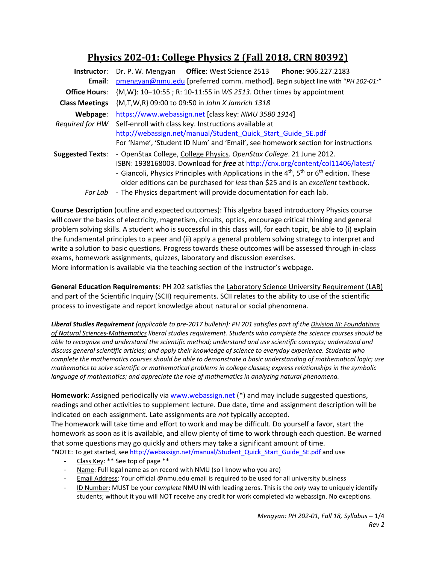# **Physics 202‐01: College Physics 2 (Fall 2018, CRN 80392)**

| Instructor:             | Phone: 906.227.2183<br>Dr. P. W. Mengyan Office: West Science 2513                                     |  |  |  |  |
|-------------------------|--------------------------------------------------------------------------------------------------------|--|--|--|--|
| Email:                  | pmengyan@nmu.edu [preferred comm. method]. Begin subject line with "PH 202-01:"                        |  |  |  |  |
| <b>Office Hours:</b>    | {M,W}: 10-10:55; R: 10-11:55 in WS 2513. Other times by appointment                                    |  |  |  |  |
| <b>Class Meetings</b>   | {M,T,W,R} 09:00 to 09:50 in John X Jamrich 1318                                                        |  |  |  |  |
| Webpage:                | https://www.webassign.net [class key: NMU 3580 1914]                                                   |  |  |  |  |
| Required for HW         | Self-enroll with class key. Instructions available at                                                  |  |  |  |  |
|                         | http://webassign.net/manual/Student Quick Start Guide SE.pdf                                           |  |  |  |  |
|                         | For 'Name', 'Student ID Num' and 'Email', see homework section for instructions                        |  |  |  |  |
| <b>Suggested Texts:</b> | - OpenStax College, College Physics. OpenStax College. 21 June 2012.                                   |  |  |  |  |
|                         | ISBN: 1938168003. Download for free at http://cnx.org/content/col11406/latest/                         |  |  |  |  |
|                         | - Giancoli, Physics Principles with Applications in the $4^{th}$ , $5^{th}$ or $6^{th}$ edition. These |  |  |  |  |
|                         | older editions can be purchased for less than \$25 and is an excellent textbook.                       |  |  |  |  |
| For Lab                 | - The Physics department will provide documentation for each lab.                                      |  |  |  |  |

**Course Description** (outline and expected outcomes): This algebra based introductory Physics course will cover the basics of electricity, magnetism, circuits, optics, encourage critical thinking and general problem solving skills. A student who is successful in this class will, for each topic, be able to (i) explain the fundamental principles to a peer and (ii) apply a general problem solving strategy to interpret and write a solution to basic questions. Progress towards these outcomes will be assessed through in‐class exams, homework assignments, quizzes, laboratory and discussion exercises. More information is available via the teaching section of the instructor's webpage.

**General Education Requirements**: PH 202 satisfies the Laboratory Science University Requirement (LAB) and part of the Scientific Inquiry (SCII) requirements. SCII relates to the ability to use of the scientific process to investigate and report knowledge about natural or social phenomena.

*Liberal Studies Requirement (applicable to pre‐2017 bulletin): PH 201 satisfies part of the Division III: Foundations of Natural Sciences‐Mathematics liberal studies requirement. Students who complete the science courses should be able to recognize and understand the scientific method; understand and use scientific concepts; understand and discuss general scientific articles; and apply their knowledge of science to everyday experience. Students who complete the mathematics courses should be able to demonstrate a basic understanding of mathematical logic; use mathematics to solve scientific or mathematical problems in college classes; express relationships in the symbolic language of mathematics; and appreciate the role of mathematics in analyzing natural phenomena.* 

**Homework**: Assigned periodically via www.webassign.net (\*) and may include suggested questions, readings and other activities to supplement lecture. Due date, time and assignment description will be indicated on each assignment. Late assignments are *not* typically accepted.

The homework will take time and effort to work and may be difficult. Do yourself a favor, start the homework as soon as it is available, and allow plenty of time to work through each question. Be warned that some questions may go quickly and others may take a significant amount of time. \*NOTE: To get started, see http://webassign.net/manual/Student\_Quick\_Start\_Guide\_SE.pdf and use

- ‐ Class Key: \*\* See top of page \*\*
- Name: Full legal name as on record with NMU (so I know who you are)
- Email Address: Your official @nmu.edu email is required to be used for all university business
- ‐ ID Number: MUST be your *complete* NMU IN with leading zeros. This is the *only* way to uniquely identify students; without it you will NOT receive any credit for work completed via webassign. No exceptions.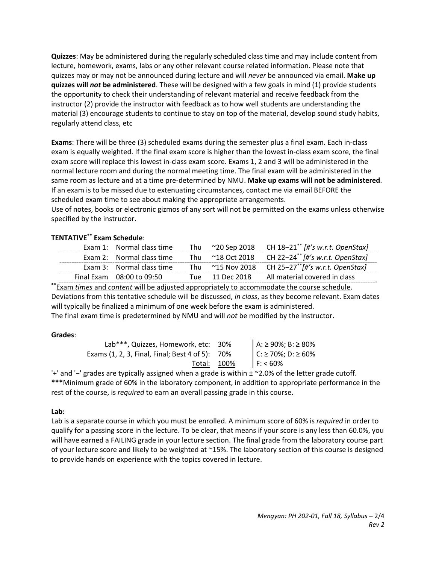**Quizzes**: May be administered during the regularly scheduled class time and may include content from lecture, homework, exams, labs or any other relevant course related information. Please note that quizzes may or may not be announced during lecture and will *never* be announced via email. **Make up quizzes will** *not* **be administered**. These will be designed with a few goals in mind (1) provide students the opportunity to check their understanding of relevant material and receive feedback from the instructor (2) provide the instructor with feedback as to how well students are understanding the material (3) encourage students to continue to stay on top of the material, develop sound study habits, regularly attend class, etc

**Exams**: There will be three (3) scheduled exams during the semester plus a final exam. Each in‐class exam is equally weighted. If the final exam score is higher than the lowest in‐class exam score, the final exam score will replace this lowest in‐class exam score. Exams 1, 2 and 3 will be administered in the normal lecture room and during the normal meeting time. The final exam will be administered in the same room as lecture and at a time pre‐determined by NMU. **Make up exams will not be administered**. If an exam is to be missed due to extenuating circumstances, contact me via email BEFORE the scheduled exam time to see about making the appropriate arrangements.

Use of notes, books or electronic gizmos of any sort will not be permitted on the exams unless otherwise specified by the instructor.

# **TENTATIVE\*\* Exam Schedule**:

| Exam 1: Normal class time     |  | Thu ~20 Sep 2018 CH $18-21^{*}$ /#'s w.r.t. OpenStax)         |
|-------------------------------|--|---------------------------------------------------------------|
| Exam 2: Normal class time     |  | Thu ~18 Oct 2018 CH 22-24 <sup>**</sup> [#'s w.r.t. OpenStax] |
| Exam 3: Normal class time     |  | Thu ~15 Nov 2018 CH 25-27 <sup>**</sup> [#'s w.r.t. OpenStax] |
| Final Exam $08:00$ to $09:50$ |  | Tue 11 Dec 2018 All material covered in class                 |

**\*\***Exam *times* and *content* will be adjusted appropriately to accommodate the course schedule. Deviations from this tentative schedule will be discussed, *in class*, as they become relevant. Exam dates will typically be finalized a minimum of one week before the exam is administered.

The final exam time is predetermined by NMU and will *not* be modified by the instructor.

# **Grades**:

| Lab***, Quizzes, Homework, etc: 30%             | A: ≥ 90%; B: ≥ 80%<br>C: ≥ 70%; D: ≥ 60%<br>F: < 60% |
|-------------------------------------------------|------------------------------------------------------|
| Exams (1, 2, 3, Final, Final; Best 4 of 5): 70% |                                                      |
| Total: 100%                                     |                                                      |

'+' and '−' grades are typically assigned when a grade is within ± ~2.0% of the letter grade cutoff. **\*\*\***Minimum grade of 60% in the laboratory component, in addition to appropriate performance in the rest of the course, is *required* to earn an overall passing grade in this course.

# **Lab:**

Lab is a separate course in which you must be enrolled. A minimum score of 60% is *required* in order to qualify for a passing score in the lecture. To be clear, that means if your score is any less than 60.0%, you will have earned a FAILING grade in your lecture section. The final grade from the laboratory course part of your lecture score and likely to be weighted at ~15%. The laboratory section of this course is designed to provide hands on experience with the topics covered in lecture.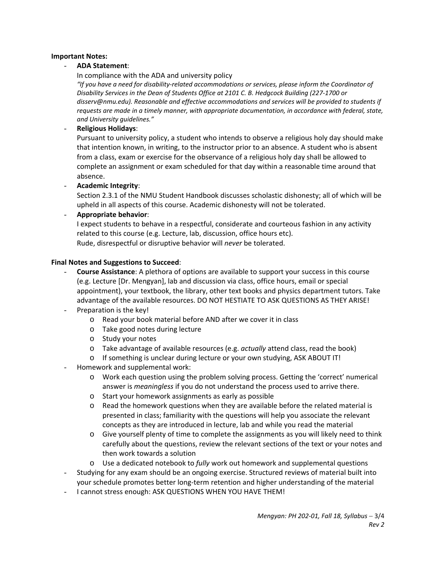# **Important Notes:**

# - **ADA Statement**:

In compliance with the ADA and university policy

*"If you have a need for disability‐related accommodations or services, please inform the Coordinator of Disability Services in the Dean of Students Office at 2101 C. B. Hedgcock Building (227‐1700 or disserv@nmu.edu). Reasonable and effective accommodations and services will be provided to students if requests are made in a timely manner, with appropriate documentation, in accordance with federal, state, and University guidelines."*

## - **Religious Holidays**:

Pursuant to university policy, a student who intends to observe a religious holy day should make that intention known, in writing, to the instructor prior to an absence. A student who is absent from a class, exam or exercise for the observance of a religious holy day shall be allowed to complete an assignment or exam scheduled for that day within a reasonable time around that absence.

- **Academic Integrity**:

Section 2.3.1 of the NMU Student Handbook discusses scholastic dishonesty; all of which will be upheld in all aspects of this course. Academic dishonesty will not be tolerated.

#### - **Appropriate behavior**:

I expect students to behave in a respectful, considerate and courteous fashion in any activity related to this course (e.g. Lecture, lab, discussion, office hours etc). Rude, disrespectful or disruptive behavior will *never* be tolerated.

#### **Final Notes and Suggestions to Succeed**:

- **Course Assistance**: A plethora of options are available to support your success in this course (e.g. Lecture [Dr. Mengyan], lab and discussion via class, office hours, email or special appointment), your textbook, the library, other text books and physics department tutors. Take advantage of the available resources. DO NOT HESTIATE TO ASK QUESTIONS AS THEY ARISE!
- Preparation is the key!
	- o Read your book material before AND after we cover it in class
	- o Take good notes during lecture
	- o Study your notes
	- o Take advantage of available resources (e.g. *actually* attend class, read the book)
	- o If something is unclear during lecture or your own studying, ASK ABOUT IT!
- Homework and supplemental work:
	- o Work each question using the problem solving process. Getting the 'correct' numerical answer is *meaningless* if you do not understand the process used to arrive there.
	- o Start your homework assignments as early as possible
	- $\circ$  Read the homework questions when they are available before the related material is presented in class; familiarity with the questions will help you associate the relevant concepts as they are introduced in lecture, lab and while you read the material
	- o Give yourself plenty of time to complete the assignments as you will likely need to think carefully about the questions, review the relevant sections of the text or your notes and then work towards a solution
	- o Use a dedicated notebook to *fully* work out homework and supplemental questions
- Studying for any exam should be an ongoing exercise. Structured reviews of material built into your schedule promotes better long‐term retention and higher understanding of the material
- I cannot stress enough: ASK QUESTIONS WHEN YOU HAVE THEM!